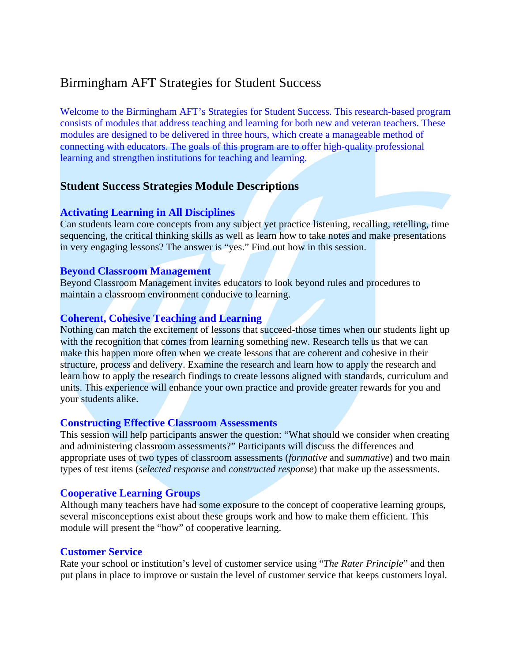# Birmingham AFT Strategies for Student Success

Welcome to the Birmingham AFT's Strategies for Student Success. This research-based program consists of modules that address teaching and learning for both new and veteran teachers. These modules are designed to be delivered in three hours, which create a manageable method of connecting with educators. The goals of this program are to offer high-quality professional learning and strengthen institutions for teaching and learning.

# **Student Success Strategies Module Descriptions**

## **Activating Learning in All Disciplines**

Can students learn core concepts from any subject yet practice listening, recalling, retelling, time sequencing, the critical thinking skills as well as learn how to take notes and make presentations in very engaging lessons? The answer is "yes." Find out how in this session.

### **Beyond Classroom Management**

Beyond Classroom Management invites educators to look beyond rules and procedures to maintain a classroom environment conducive to learning.

## **Coherent, Cohesive Teaching and Learning**

Nothing can match the excitement of lessons that succeed-those times when our students light up with the recognition that comes from learning something new. Research tells us that we can make this happen more often when we create lessons that are coherent and cohesive in their structure, process and delivery. Examine the research and learn how to apply the research and learn how to apply the research findings to create lessons aligned with standards, curriculum and units. This experience will enhance your own practice and provide greater rewards for you and your students alike.

### **Constructing Effective Classroom Assessments**

This session will help participants answer the question: "What should we consider when creating and administering classroom assessments?" Participants will discuss the differences and appropriate uses of two types of classroom assessments (*formative* and *summative*) and two main types of test items (*selected response* and *constructed response*) that make up the assessments.

# **Cooperative Learning Groups**

Although many teachers have had some exposure to the concept of cooperative learning groups, several misconceptions exist about these groups work and how to make them efficient. This module will present the "how" of cooperative learning.

### **Customer Service**

Rate your school or institution's level of customer service using "*The Rater Principle*" and then put plans in place to improve or sustain the level of customer service that keeps customers loyal.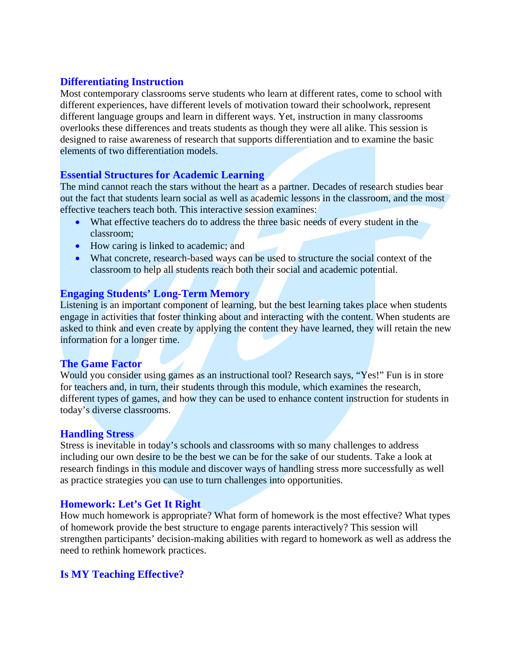# **Differentiating Instruction**

Most contemporary classrooms serve students who learn at different rates, come to school with different experiences, have different levels of motivation toward their schoolwork, represent different language groups and learn in different ways. Yet, instruction in many classrooms overlooks these differences and treats students as though they were all alike. This session is designed to raise awareness of research that supports differentiation and to examine the basic elements of two differentiation models.

## **Essential Structures for Academic Learning**

The mind cannot reach the stars without the heart as a partner. Decades of research studies bear out the fact that students learn social as well as academic lessons in the classroom, and the most effective teachers teach both. This interactive session examines:

- What effective teachers do to address the three basic needs of every student in the classroom;
- How caring is linked to academic; and
- What concrete, research-based ways can be used to structure the social context of the classroom to help all students reach both their social and academic potential.

## **Engaging Students' Long-Term Memory**

Listening is an important component of learning, but the best learning takes place when students engage in activities that foster thinking about and interacting with the content. When students are asked to think and even create by applying the content they have learned, they will retain the new information for a longer time.

### **The Game Factor**

Would you consider using games as an instructional tool? Research says, "Yes!" Fun is in store for teachers and, in turn, their students through this module, which examines the research, different types of games, and how they can be used to enhance content instruction for students in today's diverse classrooms.

### **Handling Stress**

Stress is inevitable in today's schools and classrooms with so many challenges to address including our own desire to be the best we can be for the sake of our students. Take a look at research findings in this module and discover ways of handling stress more successfully as well as practice strategies you can use to turn challenges into opportunities.

# **Homework: Let's Get It Right**

How much homework is appropriate? What form of homework is the most effective? What types of homework provide the best structure to engage parents interactively? This session will strengthen participants' decision-making abilities with regard to homework as well as address the need to rethink homework practices.

# **Is MY Teaching Effective?**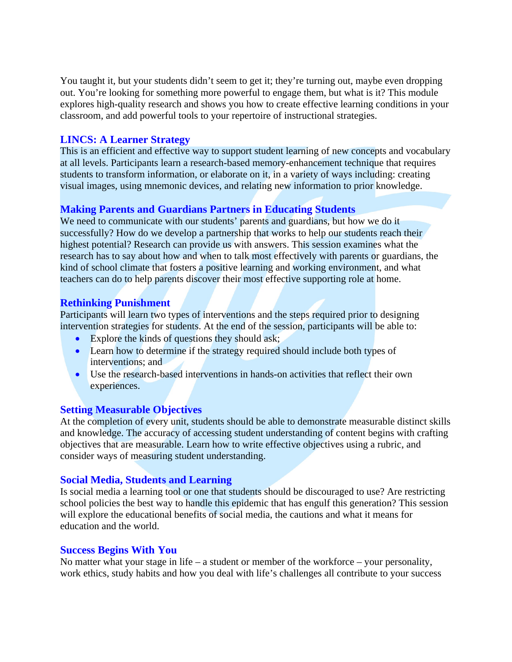You taught it, but your students didn't seem to get it; they're turning out, maybe even dropping out. You're looking for something more powerful to engage them, but what is it? This module explores high-quality research and shows you how to create effective learning conditions in your classroom, and add powerful tools to your repertoire of instructional strategies.

### **LINCS: A Learner Strategy**

This is an efficient and effective way to support student learning of new concepts and vocabulary at all levels. Participants learn a research-based memory-enhancement technique that requires students to transform information, or elaborate on it, in a variety of ways including: creating visual images, using mnemonic devices, and relating new information to prior knowledge.

## **Making Parents and Guardians Partners in Educating Students**

We need to communicate with our students' parents and guardians, but how we do it successfully? How do we develop a partnership that works to help our students reach their highest potential? Research can provide us with answers. This session examines what the research has to say about how and when to talk most effectively with parents or guardians, the kind of school climate that fosters a positive learning and working environment, and what teachers can do to help parents discover their most effective supporting role at home.

## **Rethinking Punishment**

Participants will learn two types of interventions and the steps required prior to designing intervention strategies for students. At the end of the session, participants will be able to:

- Explore the kinds of questions they should ask;
- Learn how to determine if the strategy required should include both types of interventions; and
- Use the research-based interventions in hands-on activities that reflect their own experiences.

### **Setting Measurable Objectives**

At the completion of every unit, students should be able to demonstrate measurable distinct skills and knowledge. The accuracy of accessing student understanding of content begins with crafting objectives that are measurable. Learn how to write effective objectives using a rubric, and consider ways of measuring student understanding.

### **Social Media, Students and Learning**

Is social media a learning tool or one that students should be discouraged to use? Are restricting school policies the best way to handle this epidemic that has engulf this generation? This session will explore the educational benefits of social media, the cautions and what it means for education and the world.

### **Success Begins With You**

No matter what your stage in life – a student or member of the workforce – your personality, work ethics, study habits and how you deal with life's challenges all contribute to your success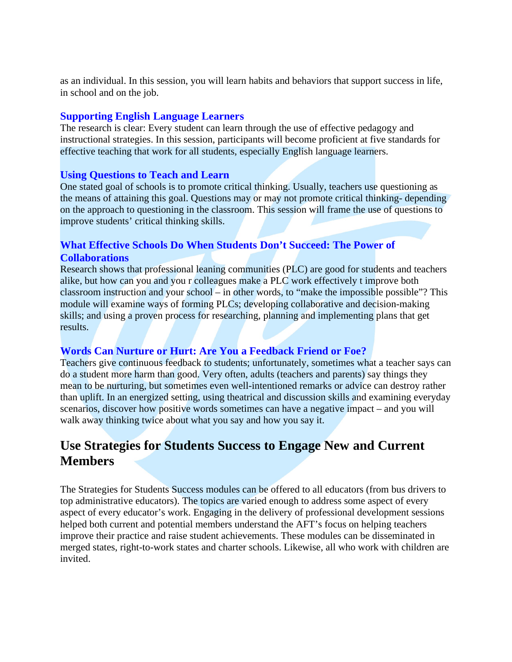as an individual. In this session, you will learn habits and behaviors that support success in life, in school and on the job.

## **Supporting English Language Learners**

The research is clear: Every student can learn through the use of effective pedagogy and instructional strategies. In this session, participants will become proficient at five standards for effective teaching that work for all students, especially English language learners.

## **Using Questions to Teach and Learn**

One stated goal of schools is to promote critical thinking. Usually, teachers use questioning as the means of attaining this goal. Questions may or may not promote critical thinking- depending on the approach to questioning in the classroom. This session will frame the use of questions to improve students' critical thinking skills.

# **What Effective Schools Do When Students Don't Succeed: The Power of Collaborations**

Research shows that professional leaning communities (PLC) are good for students and teachers alike, but how can you and you r colleagues make a PLC work effectively t improve both classroom instruction and your school – in other words, to "make the impossible possible"? This module will examine ways of forming PLCs; developing collaborative and decision-making skills; and using a proven process for researching, planning and implementing plans that get results.

# **Words Can Nurture or Hurt: Are You a Feedback Friend or Foe?**

Teachers give continuous feedback to students; unfortunately, sometimes what a teacher says can do a student more harm than good. Very often, adults (teachers and parents) say things they mean to be nurturing, but sometimes even well-intentioned remarks or advice can destroy rather than uplift. In an energized setting, using theatrical and discussion skills and examining everyday scenarios, discover how positive words sometimes can have a negative impact – and you will walk away thinking twice about what you say and how you say it.

# **Use Strategies for Students Success to Engage New and Current Members**

The Strategies for Students Success modules can be offered to all educators (from bus drivers to top administrative educators). The topics are varied enough to address some aspect of every aspect of every educator's work. Engaging in the delivery of professional development sessions helped both current and potential members understand the AFT's focus on helping teachers improve their practice and raise student achievements. These modules can be disseminated in merged states, right-to-work states and charter schools. Likewise, all who work with children are invited.